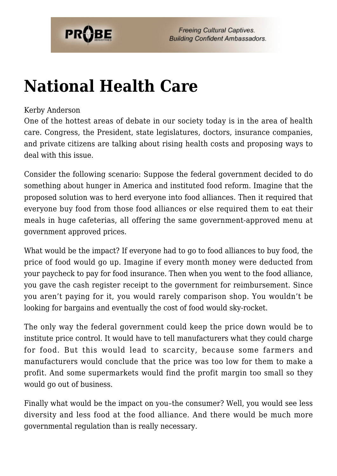

# **[National Health Care](https://probe.org/national-health-care/)**

#### Kerby Anderson

One of the hottest areas of debate in our society today is in the area of health care. Congress, the President, state legislatures, doctors, insurance companies, and private citizens are talking about rising health costs and proposing ways to deal with this issue.

Consider the following scenario: Suppose the federal government decided to do something about hunger in America and instituted food reform. Imagine that the proposed solution was to herd everyone into food alliances. Then it required that everyone buy food from those food alliances or else required them to eat their meals in huge cafeterias, all offering the same government-approved menu at government approved prices.

What would be the impact? If everyone had to go to food alliances to buy food, the price of food would go up. Imagine if every month money were deducted from your paycheck to pay for food insurance. Then when you went to the food alliance, you gave the cash register receipt to the government for reimbursement. Since you aren't paying for it, you would rarely comparison shop. You wouldn't be looking for bargains and eventually the cost of food would sky-rocket.

The only way the federal government could keep the price down would be to institute price control. It would have to tell manufacturers what they could charge for food. But this would lead to scarcity, because some farmers and manufacturers would conclude that the price was too low for them to make a profit. And some supermarkets would find the profit margin too small so they would go out of business.

Finally what would be the impact on you–the consumer? Well, you would see less diversity and less food at the food alliance. And there would be much more governmental regulation than is really necessary.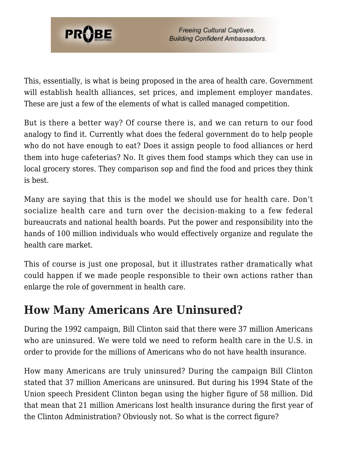

This, essentially, is what is being proposed in the area of health care. Government will establish health alliances, set prices, and implement employer mandates. These are just a few of the elements of what is called managed competition.

But is there a better way? Of course there is, and we can return to our food analogy to find it. Currently what does the federal government do to help people who do not have enough to eat? Does it assign people to food alliances or herd them into huge cafeterias? No. It gives them food stamps which they can use in local grocery stores. They comparison sop and find the food and prices they think is best.

Many are saying that this is the model we should use for health care. Don't socialize health care and turn over the decision-making to a few federal bureaucrats and national health boards. Put the power and responsibility into the hands of 100 million individuals who would effectively organize and regulate the health care market.

This of course is just one proposal, but it illustrates rather dramatically what could happen if we made people responsible to their own actions rather than enlarge the role of government in health care.

#### **How Many Americans Are Uninsured?**

During the 1992 campaign, Bill Clinton said that there were 37 million Americans who are uninsured. We were told we need to reform health care in the U.S. in order to provide for the millions of Americans who do not have health insurance.

How many Americans are truly uninsured? During the campaign Bill Clinton stated that 37 million Americans are uninsured. But during his 1994 State of the Union speech President Clinton began using the higher figure of 58 million. Did that mean that 21 million Americans lost health insurance during the first year of the Clinton Administration? Obviously not. So what is the correct figure?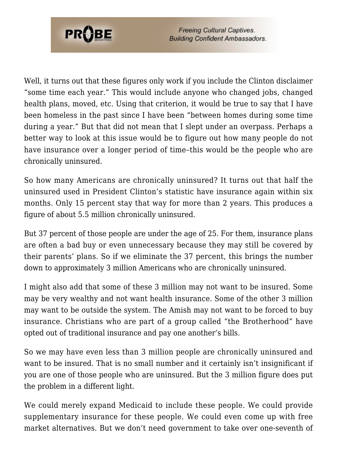

**Freeing Cultural Captives. Building Confident Ambassadors.** 

Well, it turns out that these figures only work if you include the Clinton disclaimer "some time each year." This would include anyone who changed jobs, changed health plans, moved, etc. Using that criterion, it would be true to say that I have been homeless in the past since I have been "between homes during some time during a year." But that did not mean that I slept under an overpass. Perhaps a better way to look at this issue would be to figure out how many people do not have insurance over a longer period of time–this would be the people who are chronically uninsured.

So how many Americans are chronically uninsured? It turns out that half the uninsured used in President Clinton's statistic have insurance again within six months. Only 15 percent stay that way for more than 2 years. This produces a figure of about 5.5 million chronically uninsured.

But 37 percent of those people are under the age of 25. For them, insurance plans are often a bad buy or even unnecessary because they may still be covered by their parents' plans. So if we eliminate the 37 percent, this brings the number down to approximately 3 million Americans who are chronically uninsured.

I might also add that some of these 3 million may not want to be insured. Some may be very wealthy and not want health insurance. Some of the other 3 million may want to be outside the system. The Amish may not want to be forced to buy insurance. Christians who are part of a group called "the Brotherhood" have opted out of traditional insurance and pay one another's bills.

So we may have even less than 3 million people are chronically uninsured and want to be insured. That is no small number and it certainly isn't insignificant if you are one of those people who are uninsured. But the 3 million figure does put the problem in a different light.

We could merely expand Medicaid to include these people. We could provide supplementary insurance for these people. We could even come up with free market alternatives. But we don't need government to take over one-seventh of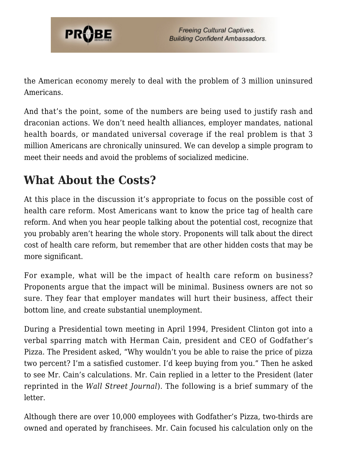

the American economy merely to deal with the problem of 3 million uninsured Americans.

And that's the point, some of the numbers are being used to justify rash and draconian actions. We don't need health alliances, employer mandates, national health boards, or mandated universal coverage if the real problem is that 3 million Americans are chronically uninsured. We can develop a simple program to meet their needs and avoid the problems of socialized medicine.

### **What About the Costs?**

At this place in the discussion it's appropriate to focus on the possible cost of health care reform. Most Americans want to know the price tag of health care reform. And when you hear people talking about the potential cost, recognize that you probably aren't hearing the whole story. Proponents will talk about the direct cost of health care reform, but remember that are other hidden costs that may be more significant.

For example, what will be the impact of health care reform on business? Proponents argue that the impact will be minimal. Business owners are not so sure. They fear that employer mandates will hurt their business, affect their bottom line, and create substantial unemployment.

During a Presidential town meeting in April 1994, President Clinton got into a verbal sparring match with Herman Cain, president and CEO of Godfather's Pizza. The President asked, "Why wouldn't you be able to raise the price of pizza two percent? I'm a satisfied customer. I'd keep buying from you." Then he asked to see Mr. Cain's calculations. Mr. Cain replied in a letter to the President (later reprinted in the *Wall Street Journal*). The following is a brief summary of the letter.

Although there are over 10,000 employees with Godfather's Pizza, two-thirds are owned and operated by franchisees. Mr. Cain focused his calculation only on the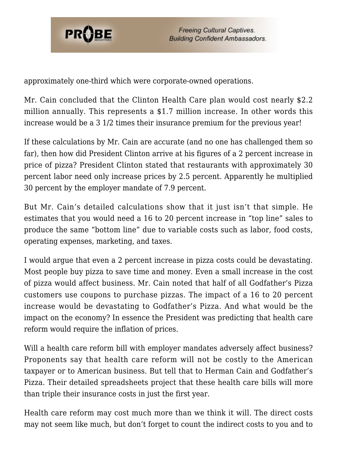

approximately one-third which were corporate-owned operations.

Mr. Cain concluded that the Clinton Health Care plan would cost nearly \$2.2 million annually. This represents a \$1.7 million increase. In other words this increase would be a 3 1/2 times their insurance premium for the previous year!

If these calculations by Mr. Cain are accurate (and no one has challenged them so far), then how did President Clinton arrive at his figures of a 2 percent increase in price of pizza? President Clinton stated that restaurants with approximately 30 percent labor need only increase prices by 2.5 percent. Apparently he multiplied 30 percent by the employer mandate of 7.9 percent.

But Mr. Cain's detailed calculations show that it just isn't that simple. He estimates that you would need a 16 to 20 percent increase in "top line" sales to produce the same "bottom line" due to variable costs such as labor, food costs, operating expenses, marketing, and taxes.

I would argue that even a 2 percent increase in pizza costs could be devastating. Most people buy pizza to save time and money. Even a small increase in the cost of pizza would affect business. Mr. Cain noted that half of all Godfather's Pizza customers use coupons to purchase pizzas. The impact of a 16 to 20 percent increase would be devastating to Godfather's Pizza. And what would be the impact on the economy? In essence the President was predicting that health care reform would require the inflation of prices.

Will a health care reform bill with employer mandates adversely affect business? Proponents say that health care reform will not be costly to the American taxpayer or to American business. But tell that to Herman Cain and Godfather's Pizza. Their detailed spreadsheets project that these health care bills will more than triple their insurance costs in just the first year.

Health care reform may cost much more than we think it will. The direct costs may not seem like much, but don't forget to count the indirect costs to you and to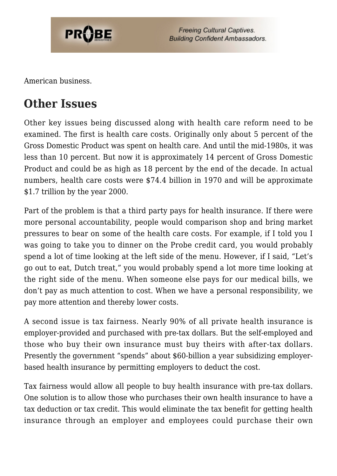

**Freeing Cultural Captives. Building Confident Ambassadors.** 

American business.

## **Other Issues**

Other key issues being discussed along with health care reform need to be examined. The first is health care costs. Originally only about 5 percent of the Gross Domestic Product was spent on health care. And until the mid-1980s, it was less than 10 percent. But now it is approximately 14 percent of Gross Domestic Product and could be as high as 18 percent by the end of the decade. In actual numbers, health care costs were \$74.4 billion in 1970 and will be approximate \$1.7 trillion by the year 2000.

Part of the problem is that a third party pays for health insurance. If there were more personal accountability, people would comparison shop and bring market pressures to bear on some of the health care costs. For example, if I told you I was going to take you to dinner on the Probe credit card, you would probably spend a lot of time looking at the left side of the menu. However, if I said, "Let's go out to eat, Dutch treat," you would probably spend a lot more time looking at the right side of the menu. When someone else pays for our medical bills, we don't pay as much attention to cost. When we have a personal responsibility, we pay more attention and thereby lower costs.

A second issue is tax fairness. Nearly 90% of all private health insurance is employer-provided and purchased with pre-tax dollars. But the self-employed and those who buy their own insurance must buy theirs with after-tax dollars. Presently the government "spends" about \$60-billion a year subsidizing employerbased health insurance by permitting employers to deduct the cost.

Tax fairness would allow all people to buy health insurance with pre-tax dollars. One solution is to allow those who purchases their own health insurance to have a tax deduction or tax credit. This would eliminate the tax benefit for getting health insurance through an employer and employees could purchase their own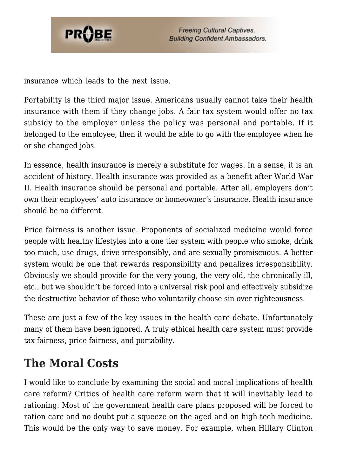

insurance which leads to the next issue.

Portability is the third major issue. Americans usually cannot take their health insurance with them if they change jobs. A fair tax system would offer no tax subsidy to the employer unless the policy was personal and portable. If it belonged to the employee, then it would be able to go with the employee when he or she changed jobs.

In essence, health insurance is merely a substitute for wages. In a sense, it is an accident of history. Health insurance was provided as a benefit after World War II. Health insurance should be personal and portable. After all, employers don't own their employees' auto insurance or homeowner's insurance. Health insurance should be no different.

Price fairness is another issue. Proponents of socialized medicine would force people with healthy lifestyles into a one tier system with people who smoke, drink too much, use drugs, drive irresponsibly, and are sexually promiscuous. A better system would be one that rewards responsibility and penalizes irresponsibility. Obviously we should provide for the very young, the very old, the chronically ill, etc., but we shouldn't be forced into a universal risk pool and effectively subsidize the destructive behavior of those who voluntarily choose sin over righteousness.

These are just a few of the key issues in the health care debate. Unfortunately many of them have been ignored. A truly ethical health care system must provide tax fairness, price fairness, and portability.

### **The Moral Costs**

I would like to conclude by examining the social and moral implications of health care reform? Critics of health care reform warn that it will inevitably lead to rationing. Most of the government health care plans proposed will be forced to ration care and no doubt put a squeeze on the aged and on high tech medicine. This would be the only way to save money. For example, when Hillary Clinton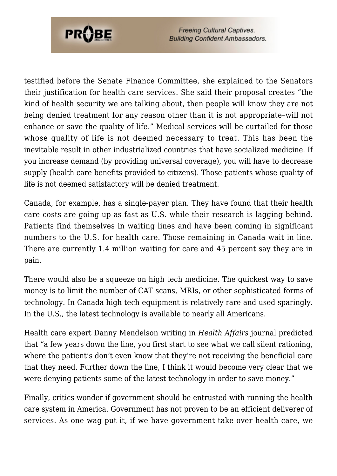

**Freeing Cultural Captives. Building Confident Ambassadors.** 

testified before the Senate Finance Committee, she explained to the Senators their justification for health care services. She said their proposal creates "the kind of health security we are talking about, then people will know they are not being denied treatment for any reason other than it is not appropriate–will not enhance or save the quality of life." Medical services will be curtailed for those whose quality of life is not deemed necessary to treat. This has been the inevitable result in other industrialized countries that have socialized medicine. If you increase demand (by providing universal coverage), you will have to decrease supply (health care benefits provided to citizens). Those patients whose quality of life is not deemed satisfactory will be denied treatment.

Canada, for example, has a single-payer plan. They have found that their health care costs are going up as fast as U.S. while their research is lagging behind. Patients find themselves in waiting lines and have been coming in significant numbers to the U.S. for health care. Those remaining in Canada wait in line. There are currently 1.4 million waiting for care and 45 percent say they are in pain.

There would also be a squeeze on high tech medicine. The quickest way to save money is to limit the number of CAT scans, MRIs, or other sophisticated forms of technology. In Canada high tech equipment is relatively rare and used sparingly. In the U.S., the latest technology is available to nearly all Americans.

Health care expert Danny Mendelson writing in *Health Affairs* journal predicted that "a few years down the line, you first start to see what we call silent rationing, where the patient's don't even know that they're not receiving the beneficial care that they need. Further down the line, I think it would become very clear that we were denying patients some of the latest technology in order to save money."

Finally, critics wonder if government should be entrusted with running the health care system in America. Government has not proven to be an efficient deliverer of services. As one wag put it, if we have government take over health care, we